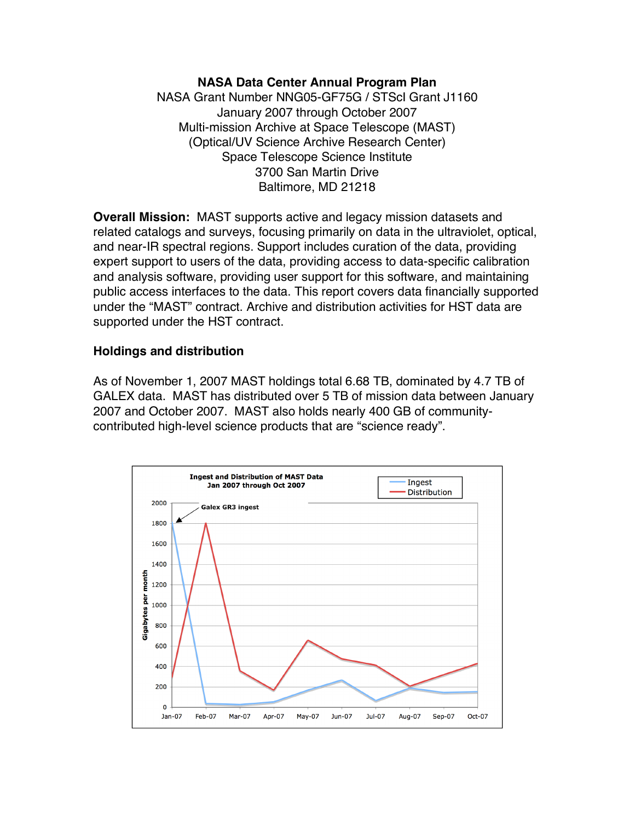#### **NASA Data Center Annual Program Plan**

NASA Grant Number NNG05-GF75G / STScI Grant J1160 January 2007 through October 2007 Multi-mission Archive at Space Telescope (MAST) (Optical/UV Science Archive Research Center) Space Telescope Science Institute 3700 San Martin Drive Baltimore, MD 21218

**Overall Mission:** MAST supports active and legacy mission datasets and related catalogs and surveys, focusing primarily on data in the ultraviolet, optical, and near-IR spectral regions. Support includes curation of the data, providing expert support to users of the data, providing access to data-specific calibration and analysis software, providing user support for this software, and maintaining public access interfaces to the data. This report covers data financially supported under the "MAST" contract. Archive and distribution activities for HST data are supported under the HST contract.

#### **Holdings and distribution**

As of November 1, 2007 MAST holdings total 6.68 TB, dominated by 4.7 TB of GALEX data. MAST has distributed over 5 TB of mission data between January 2007 and October 2007. MAST also holds nearly 400 GB of communitycontributed high-level science products that are "science ready".

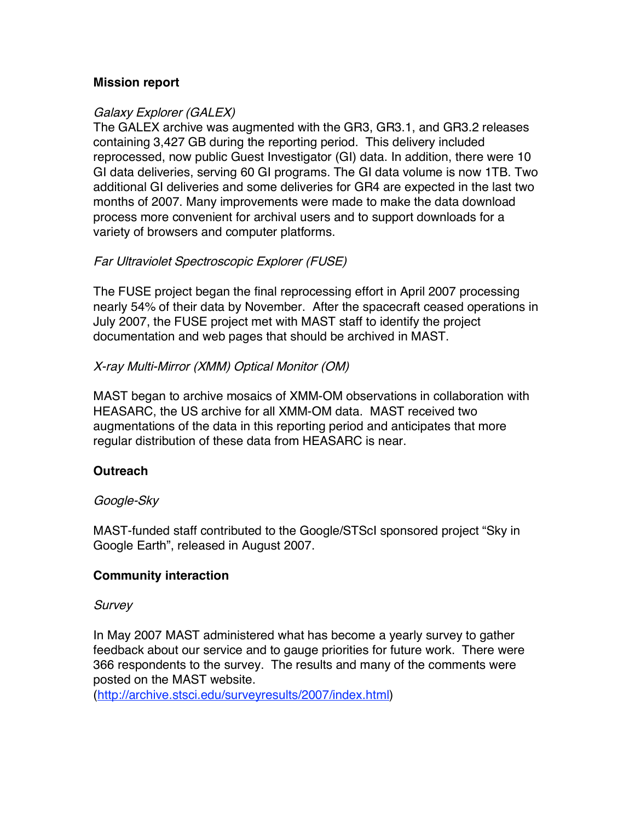#### **Mission report**

## Galaxy Explorer (GALEX)

The GALEX archive was augmented with the GR3, GR3.1, and GR3.2 releases containing 3,427 GB during the reporting period. This delivery included reprocessed, now public Guest Investigator (GI) data. In addition, there were 10 GI data deliveries, serving 60 GI programs. The GI data volume is now 1TB. Two additional GI deliveries and some deliveries for GR4 are expected in the last two months of 2007. Many improvements were made to make the data download process more convenient for archival users and to support downloads for a variety of browsers and computer platforms.

## Far Ultraviolet Spectroscopic Explorer (FUSE)

The FUSE project began the final reprocessing effort in April 2007 processing nearly 54% of their data by November. After the spacecraft ceased operations in July 2007, the FUSE project met with MAST staff to identify the project documentation and web pages that should be archived in MAST.

## X-ray Multi-Mirror (XMM) Optical Monitor (OM)

MAST began to archive mosaics of XMM-OM observations in collaboration with HEASARC, the US archive for all XMM-OM data. MAST received two augmentations of the data in this reporting period and anticipates that more regular distribution of these data from HEASARC is near.

## **Outreach**

#### Google-Sky

MAST-funded staff contributed to the Google/STScI sponsored project "Sky in Google Earth", released in August 2007.

#### **Community interaction**

#### **Survey**

In May 2007 MAST administered what has become a yearly survey to gather feedback about our service and to gauge priorities for future work. There were 366 respondents to the survey. The results and many of the comments were posted on the MAST website.

(http://archive.stsci.edu/surveyresults/2007/index.html)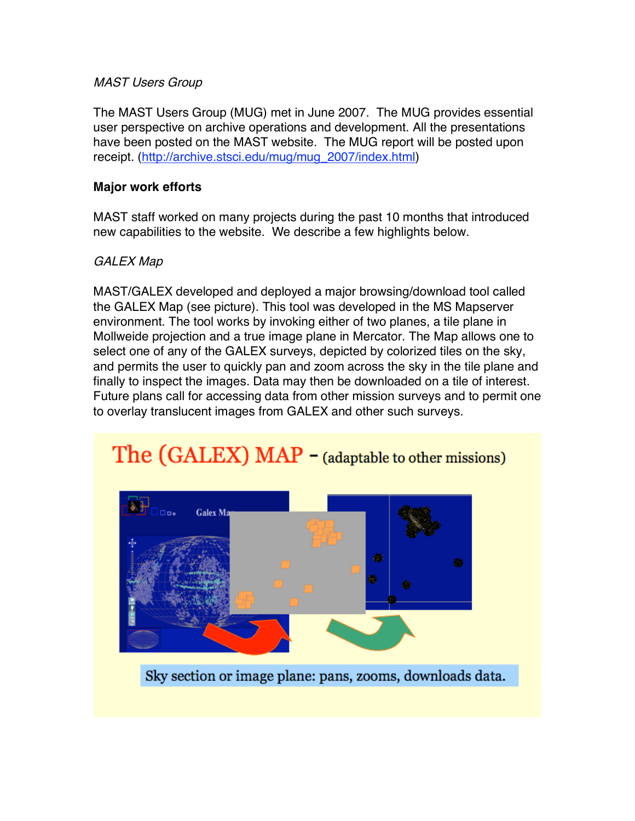#### MAST Users Group

The MAST Users Group (MUG) met in June 2007. The MUG provides essential user perspective on archive operations and development. All the presentations have been posted on the MAST website. The MUG report will be posted upon receipt. (http://archive.stsci.edu/mug/mug\_2007/index.html)

## **Major work efforts**

MAST staff worked on many projects during the past 10 months that introduced new capabilities to the website. We describe a few highlights below.

# GALEX Map

MAST/GALEX developed and deployed a major browsing/download tool called the GALEX Map (see picture). This tool was developed in the MS Mapserver environment. The tool works by invoking either of two planes, a tile plane in Mollweide projection and a true image plane in Mercator. The Map allows one to select one of any of the GALEX surveys, depicted by colorized tiles on the sky, and permits the user to quickly pan and zoom across the sky in the tile plane and finally to inspect the images. Data may then be downloaded on a tile of interest. Future plans call for accessing data from other mission surveys and to permit one to overlay translucent images from GALEX and other such surveys.

# The (GALEX) MAP - (adaptable to other missions)



Sky section or image plane: pans, zooms, downloads data.